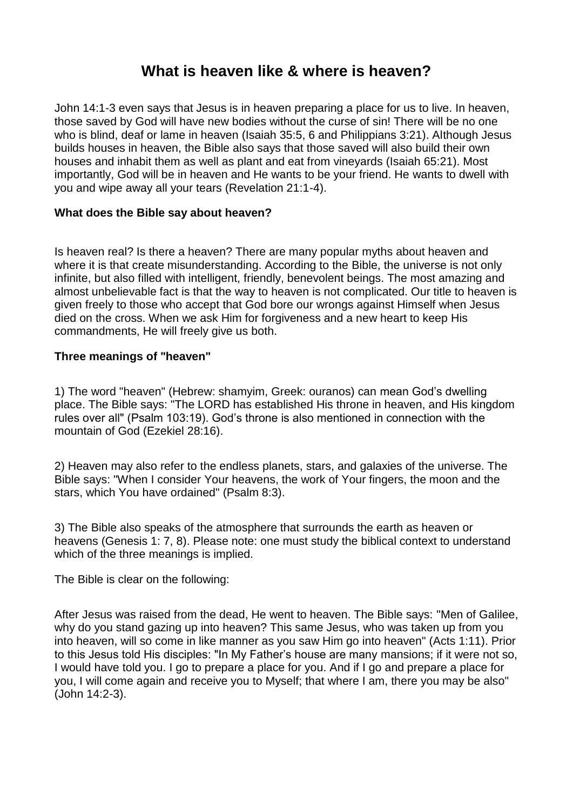# **What is heaven like & where is heaven?**

John 14:1-3 even says that Jesus is in heaven preparing a place for us to live. In heaven, those saved by God will have new bodies without the curse of sin! There will be no one who is blind, deaf or lame in heaven (Isaiah 35:5, 6 and Philippians 3:21). Although Jesus builds houses in heaven, the Bible also says that those saved will also build their own houses and inhabit them as well as plant and eat from vineyards (Isaiah 65:21). Most importantly, God will be in heaven and He wants to be your friend. He wants to dwell with you and wipe away all your tears (Revelation 21:1-4).

## **What does the Bible say about heaven?**

Is heaven real? Is there a heaven? There are many popular myths about heaven and where it is that create misunderstanding. According to the Bible, the universe is not only infinite, but also filled with intelligent, friendly, benevolent beings. The most amazing and almost unbelievable fact is that the way to heaven is not complicated. Our title to heaven is given freely to those who accept that God bore our wrongs against Himself when Jesus died on the cross. When we ask Him for forgiveness and a new heart to keep His commandments, He will freely give us both.

## **Three meanings of "heaven"**

1) The word "heaven" (Hebrew: shamyim, Greek: ouranos) can mean God's dwelling place. The Bible says: "The LORD has established His throne in heaven, and His kingdom rules over all" (Psalm 103:19). God's throne is also mentioned in connection with the mountain of God (Ezekiel 28:16).

2) Heaven may also refer to the endless planets, stars, and galaxies of the universe. The Bible says: "When I consider Your heavens, the work of Your fingers, the moon and the stars, which You have ordained" (Psalm 8:3).

3) The Bible also speaks of the atmosphere that surrounds the earth as heaven or heavens (Genesis 1: 7, 8). Please note: one must study the biblical context to understand which of the three meanings is implied.

The Bible is clear on the following:

After Jesus was raised from the dead, He went to heaven. The Bible says: "Men of Galilee, why do you stand gazing up into heaven? This same Jesus, who was taken up from you into heaven, will so come in like manner as you saw Him go into heaven" (Acts 1:11). Prior to this Jesus told His disciples: "In My Father's house are many mansions; if it were not so, I would have told you. I go to prepare a place for you. And if I go and prepare a place for you, I will come again and receive you to Myself; that where I am, there you may be also" (John 14:2-3).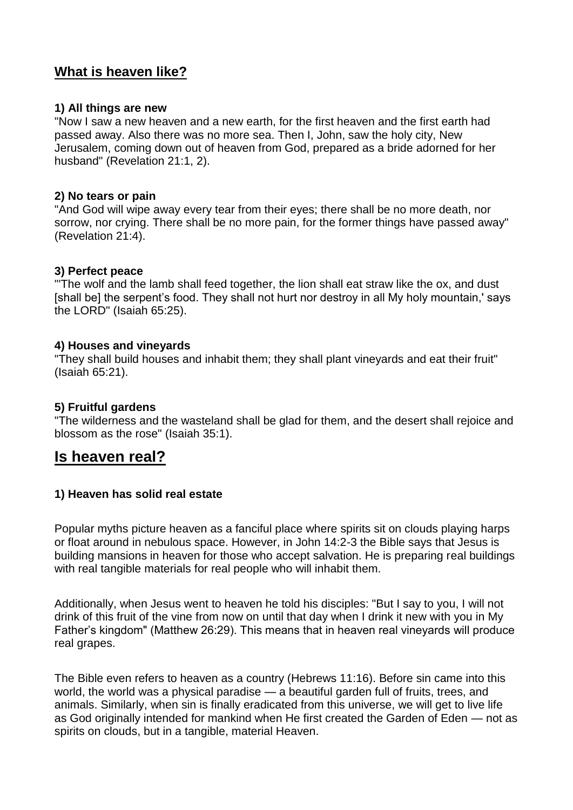# **What is heaven like?**

#### **1) All things are new**

"Now I saw a new heaven and a new earth, for the first heaven and the first earth had passed away. Also there was no more sea. Then I, John, saw the holy city, New Jerusalem, coming down out of heaven from God, prepared as a bride adorned for her husband" (Revelation 21:1, 2).

#### **2) No tears or pain**

"And God will wipe away every tear from their eyes; there shall be no more death, nor sorrow, nor crying. There shall be no more pain, for the former things have passed away" (Revelation 21:4).

#### **3) Perfect peace**

"'The wolf and the lamb shall feed together, the lion shall eat straw like the ox, and dust [shall be] the serpent's food. They shall not hurt nor destroy in all My holy mountain,' says the LORD" (Isaiah 65:25).

#### **4) Houses and vineyards**

"They shall build houses and inhabit them; they shall plant vineyards and eat their fruit" (Isaiah 65:21).

#### **5) Fruitful gardens**

"The wilderness and the wasteland shall be glad for them, and the desert shall rejoice and blossom as the rose" (Isaiah 35:1).

# **Is heaven real?**

#### **1) Heaven has solid real estate**

Popular myths picture heaven as a fanciful place where spirits sit on clouds playing harps or float around in nebulous space. However, in John 14:2-3 the Bible says that Jesus is building mansions in heaven for those who accept salvation. He is preparing real buildings with real tangible materials for real people who will inhabit them.

Additionally, when Jesus went to heaven he told his disciples: "But I say to you, I will not drink of this fruit of the vine from now on until that day when I drink it new with you in My Father's kingdom" (Matthew 26:29). This means that in heaven real vineyards will produce real grapes.

The Bible even refers to heaven as a country (Hebrews 11:16). Before sin came into this world, the world was a physical paradise — a beautiful garden full of fruits, trees, and animals. Similarly, when sin is finally eradicated from this universe, we will get to live life as God originally intended for mankind when He first created the Garden of Eden — not as spirits on clouds, but in a tangible, material Heaven.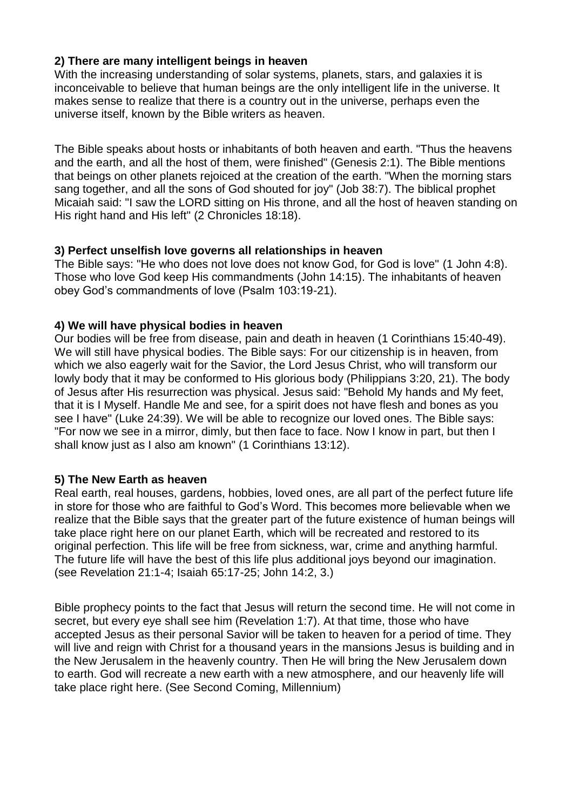# **2) There are many intelligent beings in heaven**

With the increasing understanding of solar systems, planets, stars, and galaxies it is inconceivable to believe that human beings are the only intelligent life in the universe. It makes sense to realize that there is a country out in the universe, perhaps even the universe itself, known by the Bible writers as heaven.

The Bible speaks about hosts or inhabitants of both heaven and earth. "Thus the heavens and the earth, and all the host of them, were finished" (Genesis 2:1). The Bible mentions that beings on other planets rejoiced at the creation of the earth. "When the morning stars sang together, and all the sons of God shouted for joy" (Job 38:7). The biblical prophet Micaiah said: "I saw the LORD sitting on His throne, and all the host of heaven standing on His right hand and His left" (2 Chronicles 18:18).

## **3) Perfect unselfish love governs all relationships in heaven**

The Bible says: "He who does not love does not know God, for God is love" (1 John 4:8). Those who love God keep His commandments (John 14:15). The inhabitants of heaven obey God's commandments of love (Psalm 103:19-21).

## **4) We will have physical bodies in heaven**

Our bodies will be free from disease, pain and death in heaven (1 Corinthians 15:40-49). We will still have physical bodies. The Bible says: For our citizenship is in heaven, from which we also eagerly wait for the Savior, the Lord Jesus Christ, who will transform our lowly body that it may be conformed to His glorious body (Philippians 3:20, 21). The body of Jesus after His resurrection was physical. Jesus said: "Behold My hands and My feet, that it is I Myself. Handle Me and see, for a spirit does not have flesh and bones as you see I have" (Luke 24:39). We will be able to recognize our loved ones. The Bible says: "For now we see in a mirror, dimly, but then face to face. Now I know in part, but then I shall know just as I also am known" (1 Corinthians 13:12).

# **5) The New Earth as heaven**

Real earth, real houses, gardens, hobbies, loved ones, are all part of the perfect future life in store for those who are faithful to God's Word. This becomes more believable when we realize that the Bible says that the greater part of the future existence of human beings will take place right here on our planet Earth, which will be recreated and restored to its original perfection. This life will be free from sickness, war, crime and anything harmful. The future life will have the best of this life plus additional joys beyond our imagination. (see Revelation 21:1-4; Isaiah 65:17-25; John 14:2, 3.)

[Bible prophecy](https://ilford.adventistchurch.org.uk/node/3777) points to the fact that Jesus will return the second time. He will not come in secret, but every eye shall see him (Revelation 1:7). At that time, those who have accepted Jesus as their personal Savior will be taken to heaven for a period of time. They will live and reign with Christ for a thousand vears in the mansions Jesus is building and in the New Jerusalem in the heavenly country. Then He will bring the New Jerusalem down to earth. God will recreate a new earth with a new atmosphere, and our heavenly life will take place right here. (See [Second Coming,](https://ilford.adventistchurch.org.uk/bibleinfo_topics/second-coming-jesus) [Millennium\)](https://ilford.adventistchurch.org.uk/bibleinfo_topics/millennium)